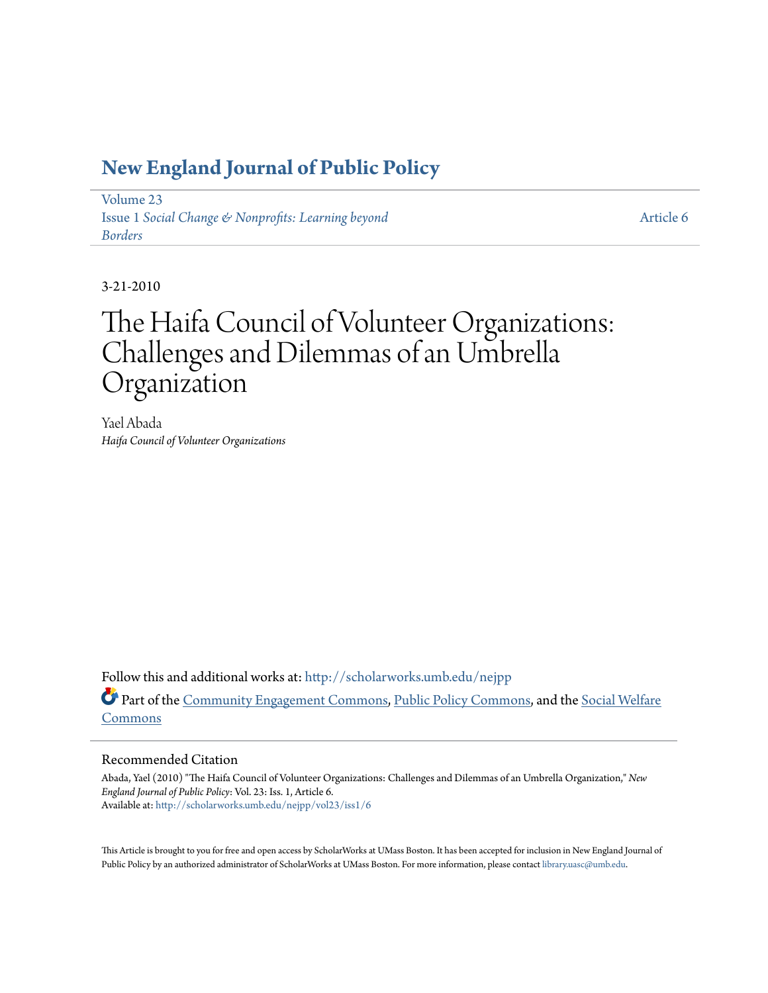### **[New England Journal of Public Policy](http://scholarworks.umb.edu/nejpp?utm_source=scholarworks.umb.edu%2Fnejpp%2Fvol23%2Fiss1%2F6&utm_medium=PDF&utm_campaign=PDFCoverPages)**

[Volume 23](http://scholarworks.umb.edu/nejpp/vol23?utm_source=scholarworks.umb.edu%2Fnejpp%2Fvol23%2Fiss1%2F6&utm_medium=PDF&utm_campaign=PDFCoverPages) Issue 1 *[Social Change & Nonprofits: Learning beyond](http://scholarworks.umb.edu/nejpp/vol23/iss1?utm_source=scholarworks.umb.edu%2Fnejpp%2Fvol23%2Fiss1%2F6&utm_medium=PDF&utm_campaign=PDFCoverPages) [Borders](http://scholarworks.umb.edu/nejpp/vol23/iss1?utm_source=scholarworks.umb.edu%2Fnejpp%2Fvol23%2Fiss1%2F6&utm_medium=PDF&utm_campaign=PDFCoverPages)*

[Article 6](http://scholarworks.umb.edu/nejpp/vol23/iss1/6?utm_source=scholarworks.umb.edu%2Fnejpp%2Fvol23%2Fiss1%2F6&utm_medium=PDF&utm_campaign=PDFCoverPages)

3-21-2010

# The Haifa Council of Volunteer Organizations: Challenges and Dilemmas of an Umbrella Organization

Yael Abada *Haifa Council of Volunteer Organizations*

Follow this and additional works at: [http://scholarworks.umb.edu/nejpp](http://scholarworks.umb.edu/nejpp?utm_source=scholarworks.umb.edu%2Fnejpp%2Fvol23%2Fiss1%2F6&utm_medium=PDF&utm_campaign=PDFCoverPages) Part of the [Community Engagement Commons](http://network.bepress.com/hgg/discipline/1028?utm_source=scholarworks.umb.edu%2Fnejpp%2Fvol23%2Fiss1%2F6&utm_medium=PDF&utm_campaign=PDFCoverPages), [Public Policy Commons](http://network.bepress.com/hgg/discipline/400?utm_source=scholarworks.umb.edu%2Fnejpp%2Fvol23%2Fiss1%2F6&utm_medium=PDF&utm_campaign=PDFCoverPages), and the [Social Welfare](http://network.bepress.com/hgg/discipline/401?utm_source=scholarworks.umb.edu%2Fnejpp%2Fvol23%2Fiss1%2F6&utm_medium=PDF&utm_campaign=PDFCoverPages) [Commons](http://network.bepress.com/hgg/discipline/401?utm_source=scholarworks.umb.edu%2Fnejpp%2Fvol23%2Fiss1%2F6&utm_medium=PDF&utm_campaign=PDFCoverPages)

#### Recommended Citation

Abada, Yael (2010) "The Haifa Council of Volunteer Organizations: Challenges and Dilemmas of an Umbrella Organization," *New England Journal of Public Policy*: Vol. 23: Iss. 1, Article 6. Available at: [http://scholarworks.umb.edu/nejpp/vol23/iss1/6](http://scholarworks.umb.edu/nejpp/vol23/iss1/6?utm_source=scholarworks.umb.edu%2Fnejpp%2Fvol23%2Fiss1%2F6&utm_medium=PDF&utm_campaign=PDFCoverPages)

This Article is brought to you for free and open access by ScholarWorks at UMass Boston. It has been accepted for inclusion in New England Journal of Public Policy by an authorized administrator of ScholarWorks at UMass Boston. For more information, please contact [library.uasc@umb.edu](mailto:library.uasc@umb.edu).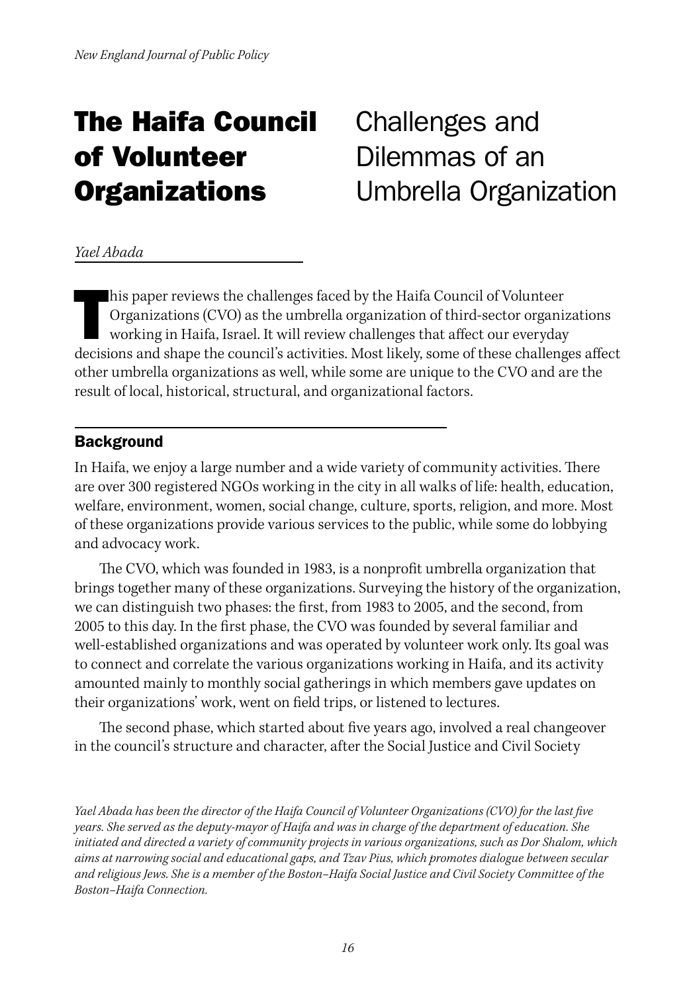## The Haifa Council of Volunteer **Organizations**

### Challenges and Dilemmas of an Umbrella Organization

*Yael Abada* 

his paper reviews the challenges faced by the Haifa Council of Volunteer<br>Organizations (CVO) as the umbrella organization of third-sector organizations<br>working in Haifa, Israel. It will review challenges that affect our ev his paper reviews the challenges faced by the Haifa Council of Volunteer Organizations (CVO) as the umbrella organization of third-sector organizations working in Haifa, Israel. It will review challenges that affect our everyday other umbrella organizations as well, while some are unique to the CVO and are the result of local, historical, structural, and organizational factors.

#### **Background**

In Haifa, we enjoy a large number and a wide variety of community activities. There are over 300 registered NGOs working in the city in all walks of life: health, education, welfare, environment, women, social change, culture, sports, religion, and more. Most of these organizations provide various services to the public, while some do lobbying and advocacy work.

The CVO, which was founded in 1983, is a nonprofit umbrella organization that brings together many of these organizations. Surveying the history of the organization, we can distinguish two phases: the first, from 1983 to 2005, and the second, from 2005 to this day. In the first phase, the CVO was founded by several familiar and well-established organizations and was operated by volunteer work only. Its goal was to connect and correlate the various organizations working in Haifa, and its activity amounted mainly to monthly social gatherings in which members gave updates on their organizations' work, went on field trips, or listened to lectures.

The second phase, which started about five years ago, involved a real changeover in the council's structure and character, after the Social Justice and Civil Society

*Yael Abada has been the director of the Haifa Council of Volunteer Organizations (CVO) for the last five years. She served as the deputy-mayor of Haifa and was in charge of the department of education. She initiated and directed a variety of community projects in various organizations, such as Dor Shalom, which aims at narrowing social and educational gaps, and Tzav Pius, which promotes dialogue between secular and religious Jews. She is a member of the Boston–Haifa Social Justice and Civil Society Committee of the Boston–Haifa Connection.*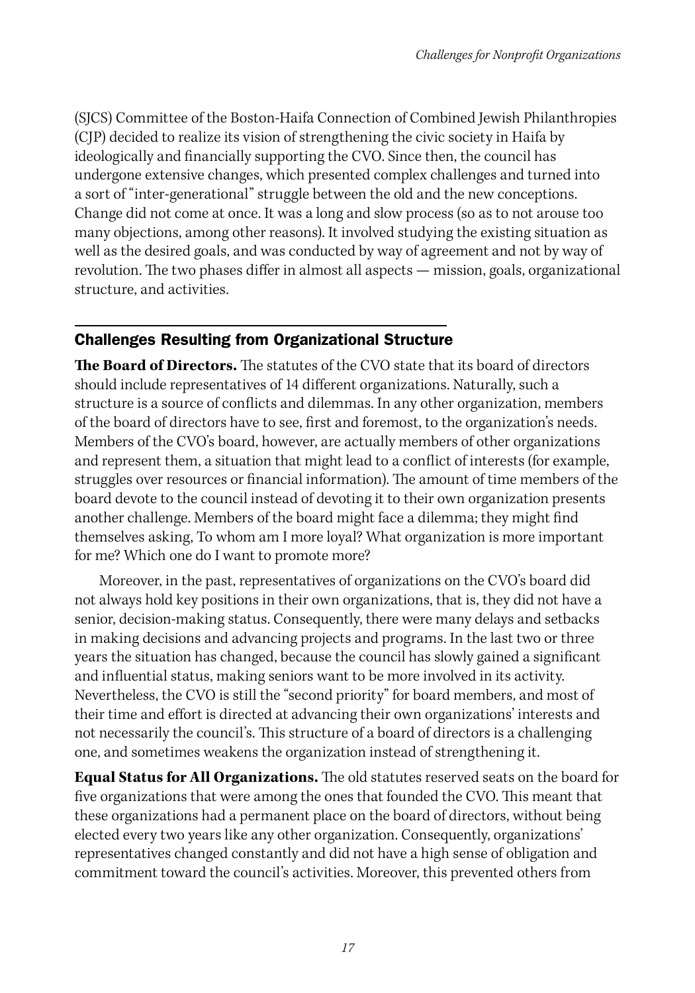(SJCS) Committee of the Boston-Haifa Connection of Combined Jewish Philanthropies (CJP) decided to realize its vision of strengthening the civic society in Haifa by ideologically and financially supporting the CVO. Since then, the council has undergone extensive changes, which presented complex challenges and turned into a sort of "inter-generational" struggle between the old and the new conceptions. Change did not come at once. It was a long and slow process (so as to not arouse too many objections, among other reasons). It involved studying the existing situation as well as the desired goals, and was conducted by way of agreement and not by way of revolution. The two phases differ in almost all aspects — mission, goals, organizational structure, and activities.

#### Challenges Resulting from Organizational Structure

**The Board of Directors.** The statutes of the CVO state that its board of directors should include representatives of 14 different organizations. Naturally, such a structure is a source of conflicts and dilemmas. In any other organization, members of the board of directors have to see, first and foremost, to the organization's needs. Members of the CVO's board, however, are actually members of other organizations and represent them, a situation that might lead to a conflict of interests (for example, struggles over resources or financial information). The amount of time members of the board devote to the council instead of devoting it to their own organization presents another challenge. Members of the board might face a dilemma; they might find themselves asking, To whom am I more loyal? What organization is more important for me? Which one do I want to promote more?

Moreover, in the past, representatives of organizations on the CVO's board did not always hold key positions in their own organizations, that is, they did not have a senior, decision-making status. Consequently, there were many delays and setbacks in making decisions and advancing projects and programs. In the last two or three years the situation has changed, because the council has slowly gained a significant and influential status, making seniors want to be more involved in its activity. Nevertheless, the CVO is still the "second priority" for board members, and most of their time and effort is directed at advancing their own organizations' interests and not necessarily the council's. This structure of a board of directors is a challenging one, and sometimes weakens the organization instead of strengthening it.

**Equal Status for All Organizations.** The old statutes reserved seats on the board for five organizations that were among the ones that founded the CVO. This meant that these organizations had a permanent place on the board of directors, without being elected every two years like any other organization. Consequently, organizations' representatives changed constantly and did not have a high sense of obligation and commitment toward the council's activities. Moreover, this prevented others from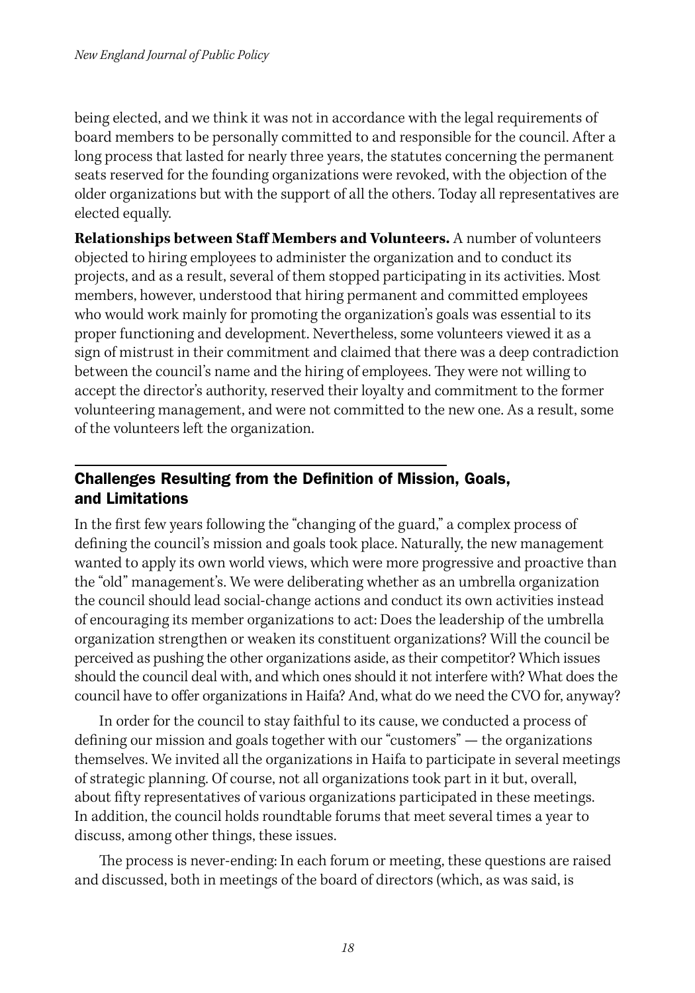being elected, and we think it was not in accordance with the legal requirements of board members to be personally committed to and responsible for the council. After a long process that lasted for nearly three years, the statutes concerning the permanent seats reserved for the founding organizations were revoked, with the objection of the older organizations but with the support of all the others. Today all representatives are elected equally.

**Relationships between Staff Members and Volunteers.** A number of volunteers objected to hiring employees to administer the organization and to conduct its projects, and as a result, several of them stopped participating in its activities. Most members, however, understood that hiring permanent and committed employees who would work mainly for promoting the organization's goals was essential to its proper functioning and development. Nevertheless, some volunteers viewed it as a sign of mistrust in their commitment and claimed that there was a deep contradiction between the council's name and the hiring of employees. They were not willing to accept the director's authority, reserved their loyalty and commitment to the former volunteering management, and were not committed to the new one. As a result, some of the volunteers left the organization.

### Challenges Resulting from the Definition of Mission, Goals, and Limitations

In the first few years following the "changing of the guard," a complex process of defining the council's mission and goals took place. Naturally, the new management wanted to apply its own world views, which were more progressive and proactive than the "old" management's. We were deliberating whether as an umbrella organization the council should lead social-change actions and conduct its own activities instead of encouraging its member organizations to act: Does the leadership of the umbrella organization strengthen or weaken its constituent organizations? Will the council be perceived as pushing the other organizations aside, as their competitor? Which issues should the council deal with, and which ones should it not interfere with? What does the council have to offer organizations in Haifa? And, what do we need the CVO for, anyway?

In order for the council to stay faithful to its cause, we conducted a process of defining our mission and goals together with our "customers" — the organizations themselves. We invited all the organizations in Haifa to participate in several meetings of strategic planning. Of course, not all organizations took part in it but, overall, about fifty representatives of various organizations participated in these meetings. In addition, the council holds roundtable forums that meet several times a year to discuss, among other things, these issues.

The process is never-ending: In each forum or meeting, these questions are raised and discussed, both in meetings of the board of directors (which, as was said, is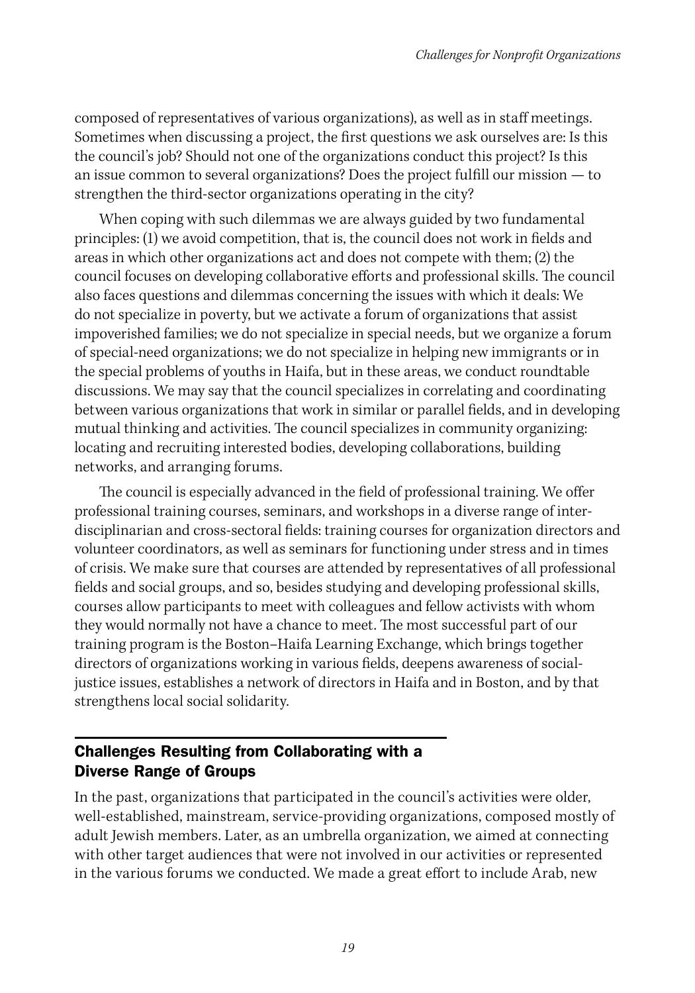composed of representatives of various organizations), as well as in staff meetings. Sometimes when discussing a project, the first questions we ask ourselves are: Is this the council's job? Should not one of the organizations conduct this project? Is this an issue common to several organizations? Does the project fulfill our mission — to strengthen the third-sector organizations operating in the city?

When coping with such dilemmas we are always guided by two fundamental principles: (1) we avoid competition, that is, the council does not work in fields and areas in which other organizations act and does not compete with them; (2) the council focuses on developing collaborative efforts and professional skills. The council also faces questions and dilemmas concerning the issues with which it deals: We do not specialize in poverty, but we activate a forum of organizations that assist impoverished families; we do not specialize in special needs, but we organize a forum of special-need organizations; we do not specialize in helping new immigrants or in the special problems of youths in Haifa, but in these areas, we conduct roundtable discussions. We may say that the council specializes in correlating and coordinating between various organizations that work in similar or parallel fields, and in developing mutual thinking and activities. The council specializes in community organizing: locating and recruiting interested bodies, developing collaborations, building networks, and arranging forums.

The council is especially advanced in the field of professional training. We offer professional training courses, seminars, and workshops in a diverse range of interdisciplinarian and cross-sectoral fields: training courses for organization directors and volunteer coordinators, as well as seminars for functioning under stress and in times of crisis. We make sure that courses are attended by representatives of all professional fields and social groups, and so, besides studying and developing professional skills, courses allow participants to meet with colleagues and fellow activists with whom they would normally not have a chance to meet. The most successful part of our training program is the Boston–Haifa Learning Exchange, which brings together directors of organizations working in various fields, deepens awareness of socialjustice issues, establishes a network of directors in Haifa and in Boston, and by that strengthens local social solidarity.

#### Challenges Resulting from Collaborating with a Diverse Range of Groups

In the past, organizations that participated in the council's activities were older, well-established, mainstream, service-providing organizations, composed mostly of adult Jewish members. Later, as an umbrella organization, we aimed at connecting with other target audiences that were not involved in our activities or represented in the various forums we conducted. We made a great effort to include Arab, new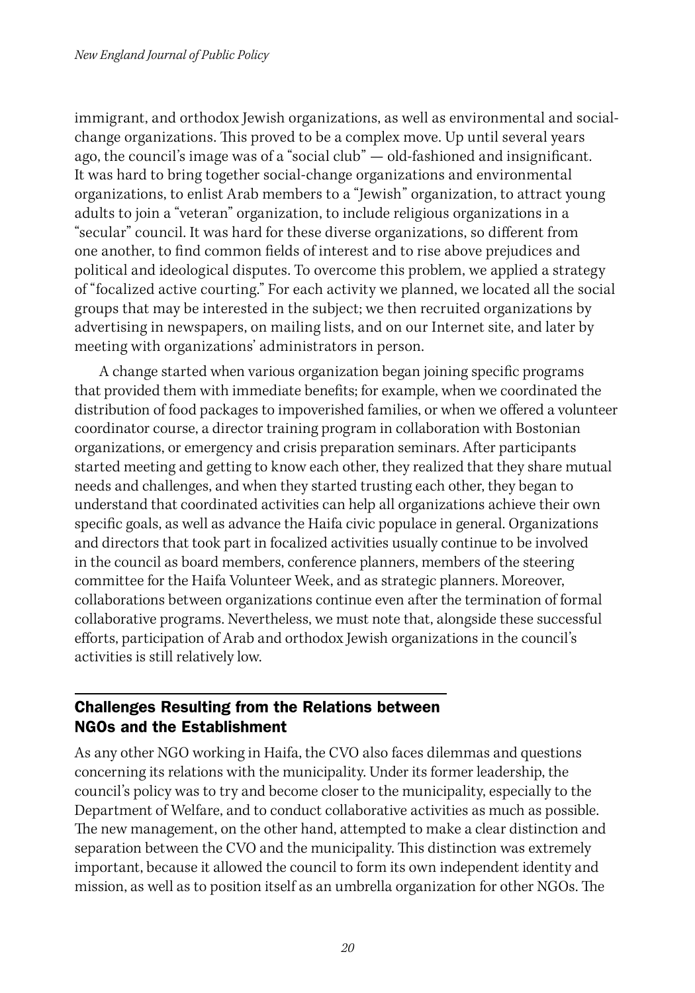immigrant, and orthodox Jewish organizations, as well as environmental and socialchange organizations. This proved to be a complex move. Up until several years ago, the council's image was of a "social club" — old-fashioned and insignificant. It was hard to bring together social-change organizations and environmental organizations, to enlist Arab members to a "Jewish" organization, to attract young adults to join a "veteran" organization, to include religious organizations in a "secular" council. It was hard for these diverse organizations, so different from one another, to find common fields of interest and to rise above prejudices and political and ideological disputes. To overcome this problem, we applied a strategy of "focalized active courting." For each activity we planned, we located all the social groups that may be interested in the subject; we then recruited organizations by advertising in newspapers, on mailing lists, and on our Internet site, and later by meeting with organizations' administrators in person.

A change started when various organization began joining specific programs that provided them with immediate benefits; for example, when we coordinated the distribution of food packages to impoverished families, or when we offered a volunteer coordinator course, a director training program in collaboration with Bostonian organizations, or emergency and crisis preparation seminars. After participants started meeting and getting to know each other, they realized that they share mutual needs and challenges, and when they started trusting each other, they began to understand that coordinated activities can help all organizations achieve their own specific goals, as well as advance the Haifa civic populace in general. Organizations and directors that took part in focalized activities usually continue to be involved in the council as board members, conference planners, members of the steering committee for the Haifa Volunteer Week, and as strategic planners. Moreover, collaborations between organizations continue even after the termination of formal collaborative programs. Nevertheless, we must note that, alongside these successful efforts, participation of Arab and orthodox Jewish organizations in the council's activities is still relatively low.

#### Challenges Resulting from the Relations between NGOs and the Establishment

As any other NGO working in Haifa, the CVO also faces dilemmas and questions concerning its relations with the municipality. Under its former leadership, the council's policy was to try and become closer to the municipality, especially to the Department of Welfare, and to conduct collaborative activities as much as possible. The new management, on the other hand, attempted to make a clear distinction and separation between the CVO and the municipality. This distinction was extremely important, because it allowed the council to form its own independent identity and mission, as well as to position itself as an umbrella organization for other NGOs. The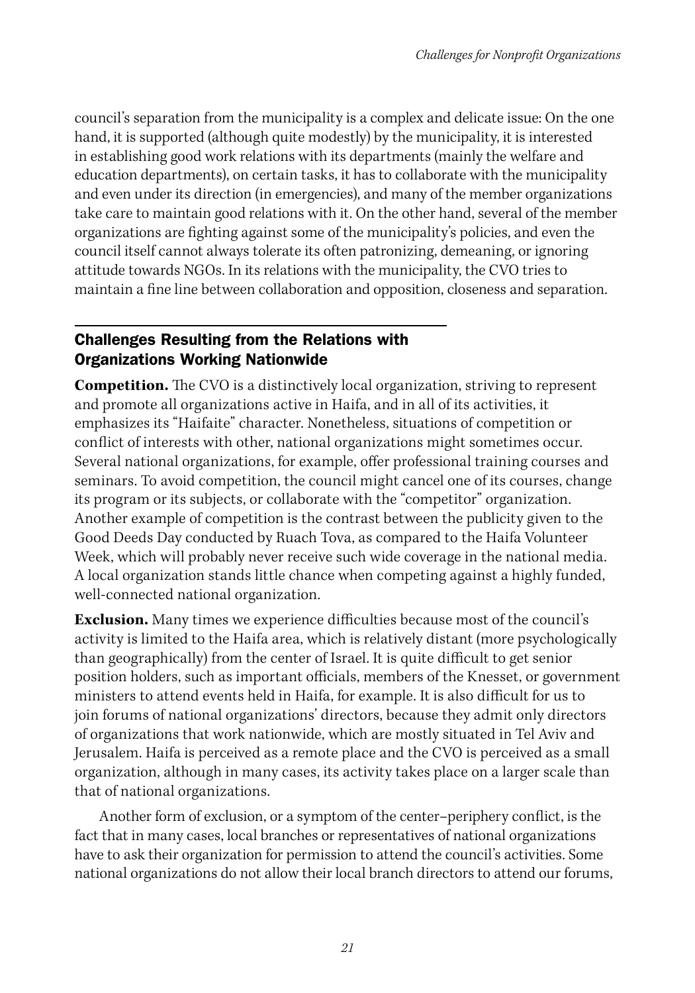council's separation from the municipality is a complex and delicate issue: On the one hand, it is supported (although quite modestly) by the municipality, it is interested in establishing good work relations with its departments (mainly the welfare and education departments), on certain tasks, it has to collaborate with the municipality and even under its direction (in emergencies), and many of the member organizations take care to maintain good relations with it. On the other hand, several of the member organizations are fighting against some of the municipality's policies, and even the council itself cannot always tolerate its often patronizing, demeaning, or ignoring attitude towards NGOs. In its relations with the municipality, the CVO tries to maintain a fine line between collaboration and opposition, closeness and separation.

#### Challenges Resulting from the Relations with Organizations Working Nationwide

**Competition.** The CVO is a distinctively local organization, striving to represent and promote all organizations active in Haifa, and in all of its activities, it emphasizes its "Haifaite" character. Nonetheless, situations of competition or conflict of interests with other, national organizations might sometimes occur. Several national organizations, for example, offer professional training courses and seminars. To avoid competition, the council might cancel one of its courses, change its program or its subjects, or collaborate with the "competitor" organization. Another example of competition is the contrast between the publicity given to the Good Deeds Day conducted by Ruach Tova, as compared to the Haifa Volunteer Week, which will probably never receive such wide coverage in the national media. A local organization stands little chance when competing against a highly funded, well-connected national organization.

**Exclusion.** Many times we experience difficulties because most of the council's activity is limited to the Haifa area, which is relatively distant (more psychologically than geographically) from the center of Israel. It is quite difficult to get senior position holders, such as important officials, members of the Knesset, or government ministers to attend events held in Haifa, for example. It is also difficult for us to join forums of national organizations' directors, because they admit only directors of organizations that work nationwide, which are mostly situated in Tel Aviv and Jerusalem. Haifa is perceived as a remote place and the CVO is perceived as a small organization, although in many cases, its activity takes place on a larger scale than that of national organizations.

Another form of exclusion, or a symptom of the center–periphery conflict, is the fact that in many cases, local branches or representatives of national organizations have to ask their organization for permission to attend the council's activities. Some national organizations do not allow their local branch directors to attend our forums,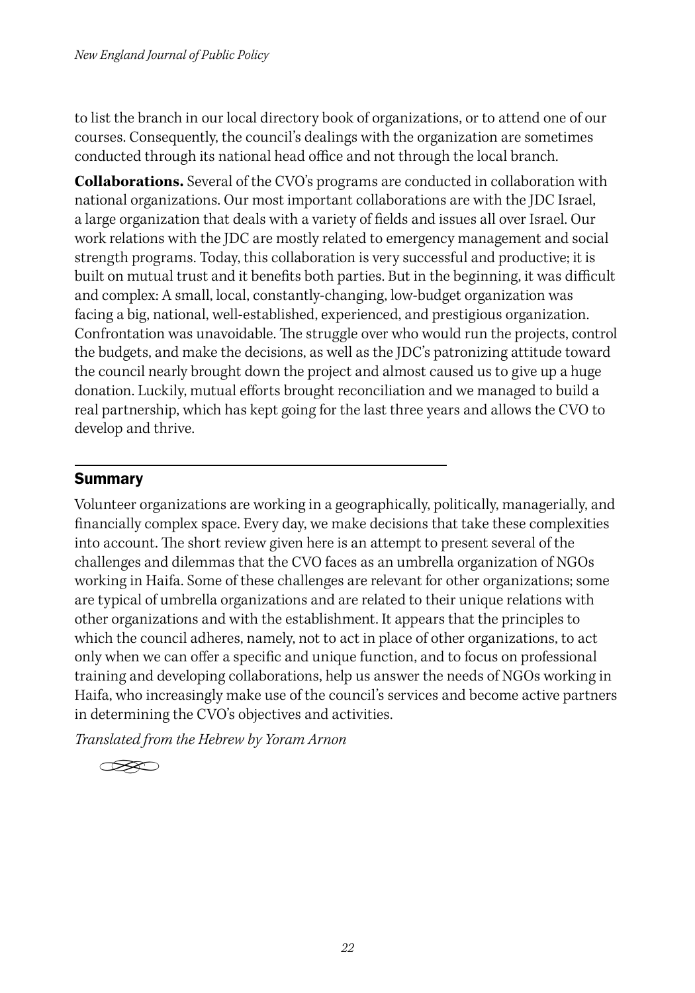to list the branch in our local directory book of organizations, or to attend one of our courses. Consequently, the council's dealings with the organization are sometimes conducted through its national head office and not through the local branch.

**Collaborations.** Several of the CVO's programs are conducted in collaboration with national organizations. Our most important collaborations are with the JDC Israel, a large organization that deals with a variety of fields and issues all over Israel. Our work relations with the JDC are mostly related to emergency management and social strength programs. Today, this collaboration is very successful and productive; it is built on mutual trust and it benefits both parties. But in the beginning, it was difficult and complex: A small, local, constantly-changing, low-budget organization was facing a big, national, well-established, experienced, and prestigious organization. Confrontation was unavoidable. The struggle over who would run the projects, control the budgets, and make the decisions, as well as the JDC's patronizing attitude toward the council nearly brought down the project and almost caused us to give up a huge donation. Luckily, mutual efforts brought reconciliation and we managed to build a real partnership, which has kept going for the last three years and allows the CVO to develop and thrive.

#### Summary

Volunteer organizations are working in a geographically, politically, managerially, and financially complex space. Every day, we make decisions that take these complexities into account. The short review given here is an attempt to present several of the challenges and dilemmas that the CVO faces as an umbrella organization of NGOs working in Haifa. Some of these challenges are relevant for other organizations; some are typical of umbrella organizations and are related to their unique relations with other organizations and with the establishment. It appears that the principles to which the council adheres, namely, not to act in place of other organizations, to act only when we can offer a specific and unique function, and to focus on professional training and developing collaborations, help us answer the needs of NGOs working in Haifa, who increasingly make use of the council's services and become active partners in determining the CVO's objectives and activities.

*Translated from the Hebrew by Yoram Arnon*

 $\curvearrowright$